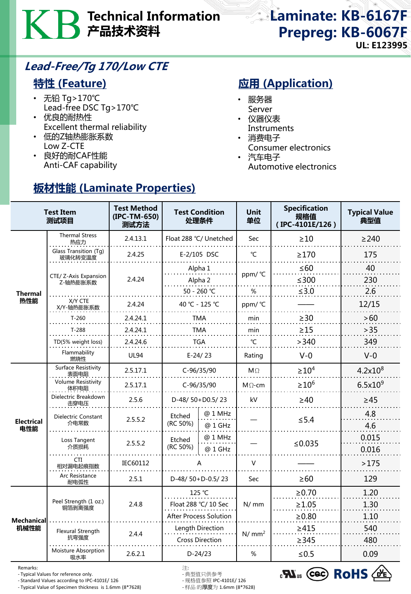# Technical Information 产品技术资料

Laminate: KB-6167F Prepreg: KB-6067F UL: E123995

### Lead-Free/Tg 170/Low CTE

#### 特性 (Feature)

- 无铅 Tg>170℃ Lead-free DSC Tg>170℃
- 优良的耐热性 Excellent thermal reliability

板材性能 (Laminate Properties)

- 低的Z轴热膨胀系数 Low Z-CTE
- 良好的耐CAF性能 Anti-CAF capability

## **应用 (Application)**

- 服务器 Server
- 仪器仪表 **Instruments**
- 消费电子
- Consumer electronics
- 汽车电子 Automotive electronics

| <b>Test Item</b><br>测试项目  |                                   | <b>Test Method</b><br>(IPC-TM-650)<br>测试方法 | <b>Test Condition</b><br>处理条件                  |                    | <b>Unit</b><br>单位 | <b>Specification</b><br>规格值<br>(IPC-4101E/126) | <b>Typical Value</b><br>典型值 |
|---------------------------|-----------------------------------|--------------------------------------------|------------------------------------------------|--------------------|-------------------|------------------------------------------------|-----------------------------|
| <b>Thermal</b><br>热性能     | <b>Thermal Stress</b><br>热应力      | 2.4.13.1                                   | Float 288 °C/ Unetched                         |                    | Sec               | $\geq 10$                                      | $\geq$ 240                  |
|                           | Glass Transition (Tg)<br>玻璃化转变温度  | 2.4.25                                     | E-2/105 DSC                                    |                    | $\mathrm{C}$      | $\geq$ 170                                     | 175                         |
|                           | CTE/ Z-Axis Expansion<br>Z-轴热膨胀系数 | 2.4.24                                     | Alpha 1                                        |                    | ppm/°C            | $\leq 60$                                      | 40                          |
|                           |                                   |                                            | Alpha <sub>2</sub><br>50 - 260 ℃               |                    | %                 | $≤300$<br>$≤3.0$                               | 230<br>2.6                  |
|                           | X/Y CTE<br>X/Y-轴热膨胀系数             | 2.4.24                                     | 40 °C - 125 °C                                 |                    | ppm/ °C           |                                                | 12/15                       |
|                           | $T-260$                           | 2.4.24.1                                   | TMA                                            |                    | min               | $\geq$ 30                                      | >60                         |
|                           | $T-288$                           | 2.4.24.1                                   | <b>TMA</b>                                     |                    | min               | $\geq$ 15                                      | $>35$                       |
|                           | TD(5% weight loss)                | 2.4.24.6                                   | TGA                                            |                    | °C                | >340                                           | 349                         |
|                           | Flammability<br>燃烧性               | <b>UL94</b>                                | $E-24/23$                                      |                    | Rating            | $V-0$                                          | $V-0$                       |
| <b>Electrical</b><br>电性能  | Surface Resistivity<br>表面电阻       | 2.5.17.1                                   | C-96/35/90                                     |                    | $M\Omega$         | $\geq 10^4$                                    | $4.2x10^{8}$                |
|                           | <b>Volume Resistivity</b><br>体积电阻 | 2.5.17.1                                   | C-96/35/90                                     |                    | $M\Omega$ -cm     | $\geq 10^6$                                    | $6.5x10^{9}$                |
|                           | Dielectric Breakdown<br>击穿电压      | 2.5.6                                      | D-48/50+D0.5/23                                |                    | kV                | $\geq 40$                                      | $\geq 45$                   |
|                           | Dielectric Constant<br>介电常数       | 2.5.5.2                                    | Etched<br>(RC 50%)                             | @ 1 MHz<br>@ 1 GHz |                   | $\leq$ 5.4                                     | 4.8<br>4.6                  |
|                           | Loss Tangent<br>介质损耗              | 2.5.5.2                                    | Etched<br>(RC 50%)                             | @ 1 MHz<br>@ 1 GHz |                   | ≤ $0.035$                                      | 0.015<br>0.016              |
|                           | <b>CTI</b><br>相对漏电起痕指数            | IEC60112                                   | А                                              |                    | V                 |                                                | >175                        |
|                           | Arc Resistance<br>耐电弧性            | 2.5.1                                      | D-48/50+D-0.5/23                               |                    | Sec               | $\geq 60$                                      | 129                         |
| <b>Mechanical</b><br>机械性能 | Peel Strength (1 oz.)<br>铜箔剥离强度   | 2.4.8                                      | 125 °C                                         |                    | N/mm              | $\ge 0.70$                                     | 1.20                        |
|                           |                                   |                                            | Float 288 °C/ 10 Sec<br>After Process Solution |                    |                   | $\geq 1.05$<br>≥0.80                           | 1.30<br>1.10                |
|                           | Flexural Strength<br>抗弯强度         | 2.4.4                                      | Length Direction<br><b>Cross Direction</b>     |                    | N/mm <sup>2</sup> | $\geq 415$<br>$\geq$ 345                       | 540<br>480                  |
|                           | Moisture Absorption<br>吸水率        | 2.6.2.1                                    | $D-24/23$                                      |                    | %                 | $≤0.5$                                         | 0.09                        |

Remarks: 注:

- Typical Values for reference only. - 典型值只供参考

- Standard Values according to IPC-4101E/ 126 - 规格值参照 IPC-4101E/ 126 - Typical Value of Specimen thickness is 1.6mm (8\*7628)